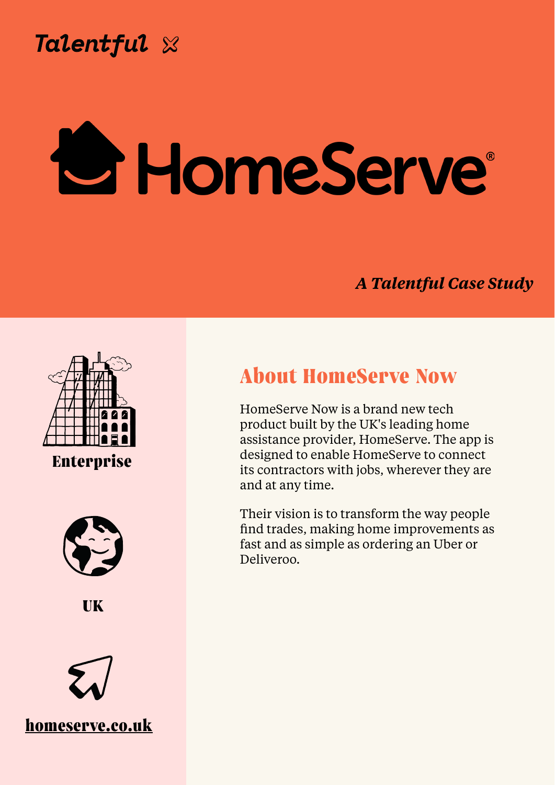

**Chris Wilkinson, Director of People**

### *A Talentful Case Study*



# **About HomeServe Now**



HomeServe Now is a brand new tech product built by the UK's leading home assistance provider, HomeServe. The app is designed to enable HomeServe to connect its contractors with jobs, wherever they are and at any time.

Their vision is to transform the way people find trades, making home improvements as fast and as simple as ordering an Uber or Deliveroo.

# **Enterprise**





## **[homeserve.co.uk](http://starlingbank.com)**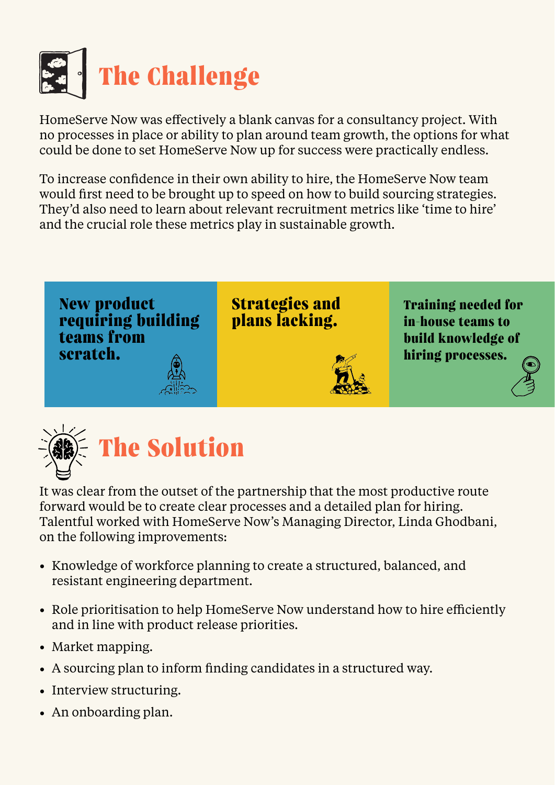

HomeServe Now was effectively a blank canvas for a consultancy project. With no processes in place or ability to plan around team growth, the options for what could be done to set HomeServe Now up for success were practically endless.

To increase confidence in their own ability to hire, the HomeServe Now team would first need to be brought up to speed on how to build sourcing strategies. They'd also need to learn about relevant recruitment metrics like 'time to hire' and the crucial role these metrics play in sustainable growth.



- Knowledge of workforce planning to create a structured, balanced, and resistant engineering department.
- Role prioritisation to help HomeServe Now understand how to hire efficiently and in line with product release priorities.
- Market mapping.
- A sourcing plan to inform finding candidates in a structured way.
- Interview structuring.
- An onboarding plan.

It was clear from the outset of the partnership that the most productive route forward would be to create clear processes and a detailed plan for hiring. Talentful worked with HomeServe Now's Managing Director, Linda Ghodbani, on the following improvements:

**New product requiring building teams from scratch.**



**Strategies and plans lacking.**



**Training needed for in-house teams to build knowledge of hiring processes.**